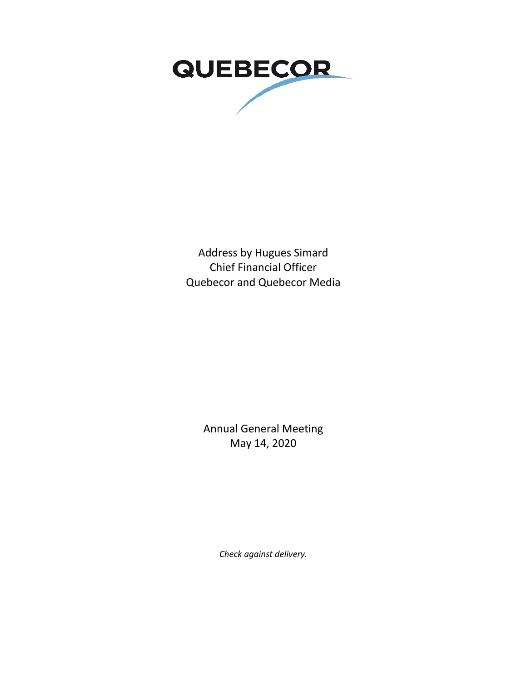

Address by Hugues Simard Chief Financial Officer Quebecor and Quebecor Media

> Annual General Meeting May 14, 2020

> > *Check against delivery.*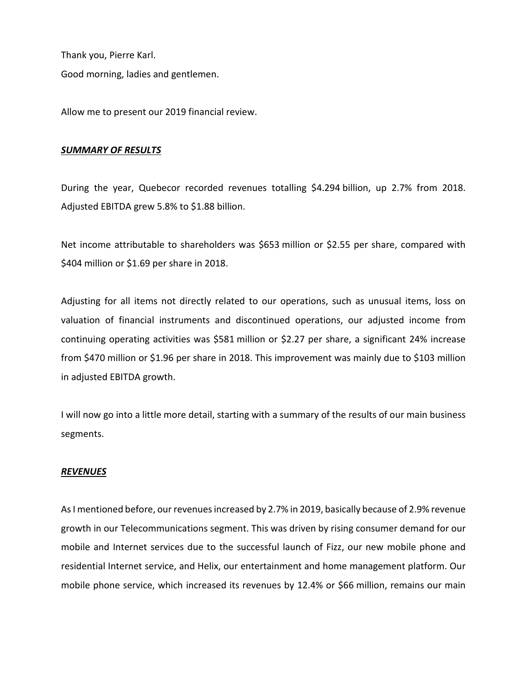Thank you, Pierre Karl. Good morning, ladies and gentlemen.

Allow me to present our 2019 financial review.

#### *SUMMARY OF RESULTS*

During the year, Quebecor recorded revenues totalling \$4.294 billion, up 2.7% from 2018. Adjusted EBITDA grew 5.8% to \$1.88 billion.

Net income attributable to shareholders was \$653 million or \$2.55 per share, compared with \$404 million or \$1.69 per share in 2018.

Adjusting for all items not directly related to our operations, such as unusual items, loss on valuation of financial instruments and discontinued operations, our adjusted income from continuing operating activities was \$581 million or \$2.27 per share, a significant 24% increase from \$470 million or \$1.96 per share in 2018. This improvement was mainly due to \$103 million in adjusted EBITDA growth.

I will now go into a little more detail, starting with a summary of the results of our main business segments.

# *REVENUES*

As I mentioned before, our revenues increased by 2.7% in 2019, basically because of 2.9% revenue growth in our Telecommunications segment. This was driven by rising consumer demand for our mobile and Internet services due to the successful launch of Fizz, our new mobile phone and residential Internet service, and Helix, our entertainment and home management platform. Our mobile phone service, which increased its revenues by 12.4% or \$66 million, remains our main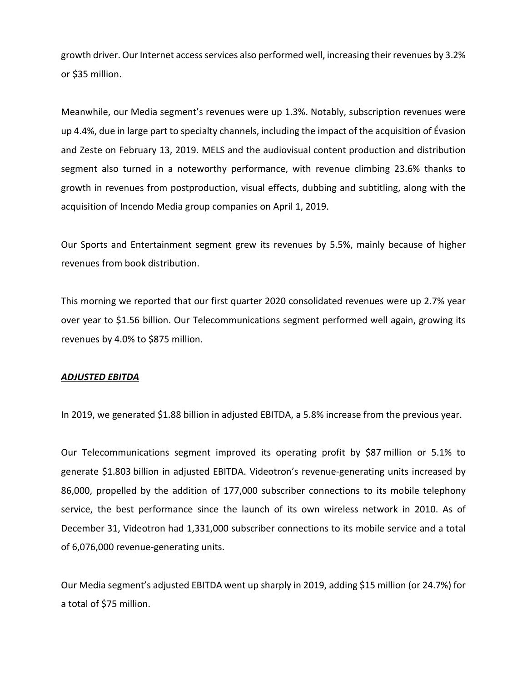growth driver. Our Internet access services also performed well, increasing their revenues by 3.2% or \$35 million.

Meanwhile, our Media segment's revenues were up 1.3%. Notably, subscription revenues were up 4.4%, due in large part to specialty channels, including the impact of the acquisition of Évasion and Zeste on February 13, 2019. MELS and the audiovisual content production and distribution segment also turned in a noteworthy performance, with revenue climbing 23.6% thanks to growth in revenues from postproduction, visual effects, dubbing and subtitling, along with the acquisition of Incendo Media group companies on April 1, 2019.

Our Sports and Entertainment segment grew its revenues by 5.5%, mainly because of higher revenues from book distribution.

This morning we reported that our first quarter 2020 consolidated revenues were up 2.7% year over year to \$1.56 billion. Our Telecommunications segment performed well again, growing its revenues by 4.0% to \$875 million.

#### *ADJUSTED EBITDA*

In 2019, we generated \$1.88 billion in adjusted EBITDA, a 5.8% increase from the previous year.

Our Telecommunications segment improved its operating profit by \$87 million or 5.1% to generate \$1.803 billion in adjusted EBITDA. Videotron's revenue-generating units increased by 86,000, propelled by the addition of 177,000 subscriber connections to its mobile telephony service, the best performance since the launch of its own wireless network in 2010. As of December 31, Videotron had 1,331,000 subscriber connections to its mobile service and a total of 6,076,000 revenue-generating units.

Our Media segment's adjusted EBITDA went up sharply in 2019, adding \$15 million (or 24.7%) for a total of \$75 million.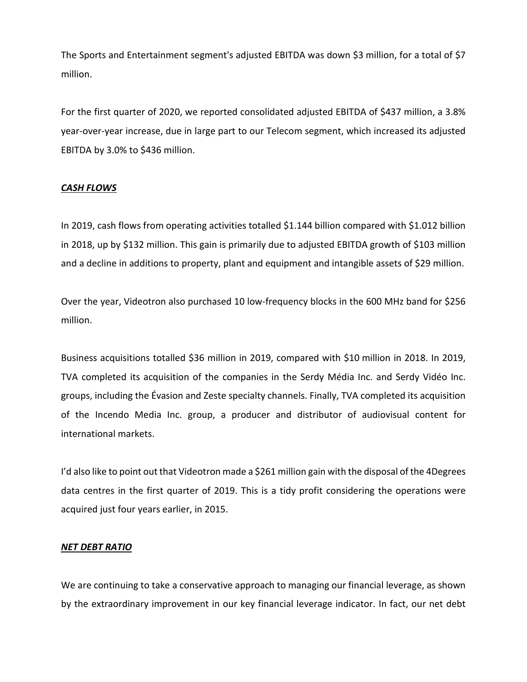The Sports and Entertainment segment's adjusted EBITDA was down \$3 million, for a total of \$7 million.

For the first quarter of 2020, we reported consolidated adjusted EBITDA of \$437 million, a 3.8% year-over-year increase, due in large part to our Telecom segment, which increased its adjusted EBITDA by 3.0% to \$436 million.

# *CASH FLOWS*

In 2019, cash flows from operating activities totalled \$1.144 billion compared with \$1.012 billion in 2018, up by \$132 million. This gain is primarily due to adjusted EBITDA growth of \$103 million and a decline in additions to property, plant and equipment and intangible assets of \$29 million.

Over the year, Videotron also purchased 10 low-frequency blocks in the 600 MHz band for \$256 million.

Business acquisitions totalled \$36 million in 2019, compared with \$10 million in 2018. In 2019, TVA completed its acquisition of the companies in the Serdy Média Inc. and Serdy Vidéo Inc. groups, including the Évasion and Zeste specialty channels. Finally, TVA completed its acquisition of the Incendo Media Inc. group, a producer and distributor of audiovisual content for international markets.

I'd also like to point out that Videotron made a \$261 million gain with the disposal of the 4Degrees data centres in the first quarter of 2019. This is a tidy profit considering the operations were acquired just four years earlier, in 2015.

# *NET DEBT RATIO*

We are continuing to take a conservative approach to managing our financial leverage, as shown by the extraordinary improvement in our key financial leverage indicator. In fact, our net debt